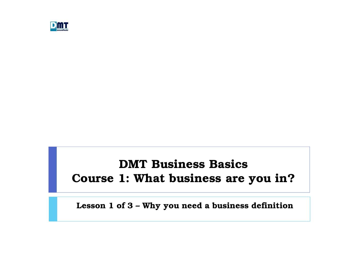

#### DMT Business Basics Course 1: What business are you in?

Lesson 1 of 3 – Why you need a business definition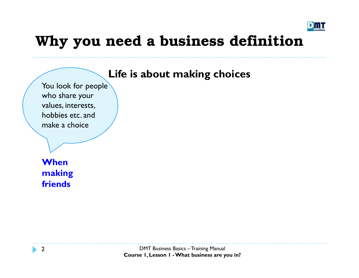

#### Life is about making choices

You look for people who share your values, interests, hobbies etc. and make a choice

**When** making friends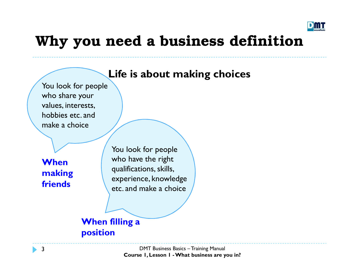

#### Life is about making choices

You look for people who share your values, interests, hobbies etc. and make a choice

**When** making friends

You look for people who have the right qualifications, skills, experience, knowledge etc. and make a choice

#### When filling a position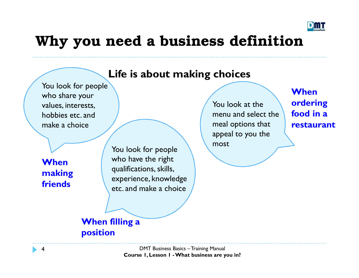

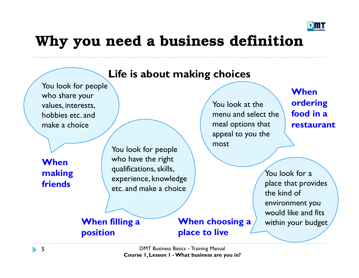



Course 1, Lesson 1 - What business are you in?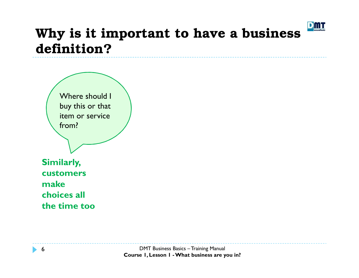

buy this or that item or service from? The control Where should I

Similarly, customers make choices all the time too

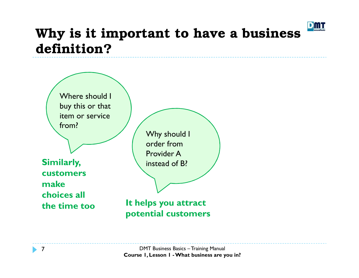

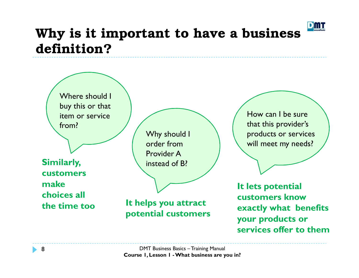

buy this or that item or service from? The control Where should I

Similarly, customers make choices all the time too Why should I order from Provider A instead of B?

It helps you attract potential customers How can I be sure that this provider's products or services will meet my needs?

It lets potential customers know exactly what benefits your products or services offer to them

DMT Business Basics – Training Manual Course 1, Lesson 1 - What business are you in?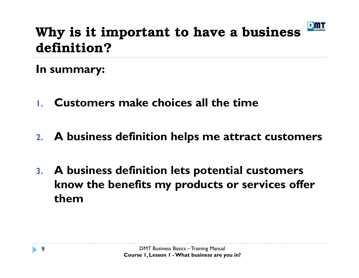

In summary:

- 1.Customers make choices all the time
- 2. A business definition helps me attract customers
- 3. A business definition lets potential customers know the benefits my products or services offer them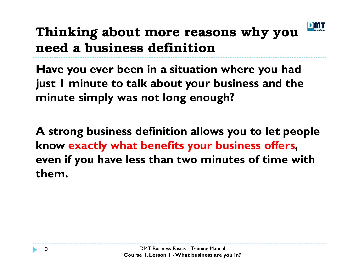

# Thinking about more reasons why you need a business definition

Have you ever been in a situation where you had just 1 minute to talk about your business and the minute simply was not long enough?

A strong business definition allows you to let people know exactly what benefits your business offers, even if you have less than two minutes of time withthem.

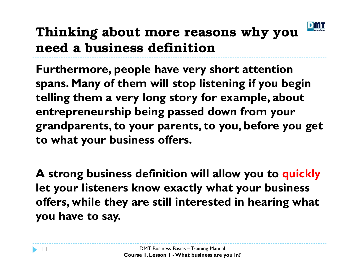

# Thinking about more reasons why you need a business definition

Furthermore, people have very short attention spans. Many of them will stop listening if you begin telling them a very long story for example, about entrepreneurship being passed down from your grandparents, to your parents, to you, before you get to what your business offers.

A strong business definition will allow you to quicklylet your listeners know exactly what your business offers, while they are still interested in hearing what you have to say.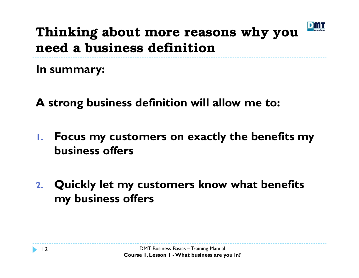

## Thinking about more reasons why you need a business definition

In summary:

A strong business definition will allow me to:

- 1. Focus my customers on exactly the benefits my business offers
- 2. Quickly let my customers know what benefits my business offers